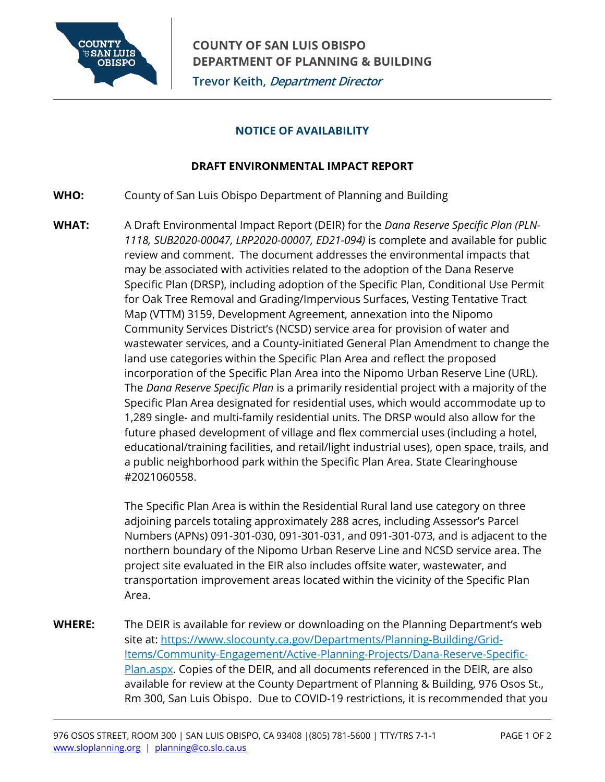

# **NOTICE OF AVAILABILITY**

# **DRAFT ENVIRONMENTAL IMPACT REPORT**

- **WHO:** County of San Luis Obispo Department of Planning and Building
- **WHAT:** A Draft Environmental Impact Report (DEIR) for the *Dana Reserve Specific Plan (PLN-1118, SUB2020-00047, LRP2020-00007, ED21-094)* is complete and available for public review and comment. The document addresses the environmental impacts that may be associated with activities related to the adoption of the Dana Reserve Specific Plan (DRSP), including adoption of the Specific Plan, Conditional Use Permit for Oak Tree Removal and Grading/Impervious Surfaces, Vesting Tentative Tract Map (VTTM) 3159, Development Agreement, annexation into the Nipomo Community Services District's (NCSD) service area for provision of water and wastewater services, and a County-initiated General Plan Amendment to change the land use categories within the Specific Plan Area and reflect the proposed incorporation of the Specific Plan Area into the Nipomo Urban Reserve Line (URL). The *Dana Reserve Specific Plan* is a primarily residential project with a majority of the Specific Plan Area designated for residential uses, which would accommodate up to 1,289 single- and multi-family residential units. The DRSP would also allow for the future phased development of village and flex commercial uses (including a hotel, educational/training facilities, and retail/light industrial uses), open space, trails, and a public neighborhood park within the Specific Plan Area. State Clearinghouse #2021060558.

The Specific Plan Area is within the Residential Rural land use category on three adjoining parcels totaling approximately 288 acres, including Assessor's Parcel Numbers (APNs) 091-301-030, 091-301-031, and 091-301-073, and is adjacent to the northern boundary of the Nipomo Urban Reserve Line and NCSD service area. The project site evaluated in the EIR also includes offsite water, wastewater, and transportation improvement areas located within the vicinity of the Specific Plan Area.

**WHERE:** The DEIR is available for review or downloading on the Planning Department's web site at: [https://www.slocounty.ca.gov/Departments/Planning-Building/Grid-](https://www.slocounty.ca.gov/Departments/Planning-Building/Grid-Items/Community-Engagement/Active-Planning-Projects/Dana-Reserve-Specific-Plan.aspx)[Items/Community-Engagement/Active-Planning-Projects/Dana-Reserve-Specific-](https://www.slocounty.ca.gov/Departments/Planning-Building/Grid-Items/Community-Engagement/Active-Planning-Projects/Dana-Reserve-Specific-Plan.aspx)[Plan.aspx.](https://www.slocounty.ca.gov/Departments/Planning-Building/Grid-Items/Community-Engagement/Active-Planning-Projects/Dana-Reserve-Specific-Plan.aspx) Copies of the DEIR, and all documents referenced in the DEIR, are also available for review at the County Department of Planning & Building, 976 Osos St., Rm 300, San Luis Obispo. Due to COVID-19 restrictions, it is recommended that you